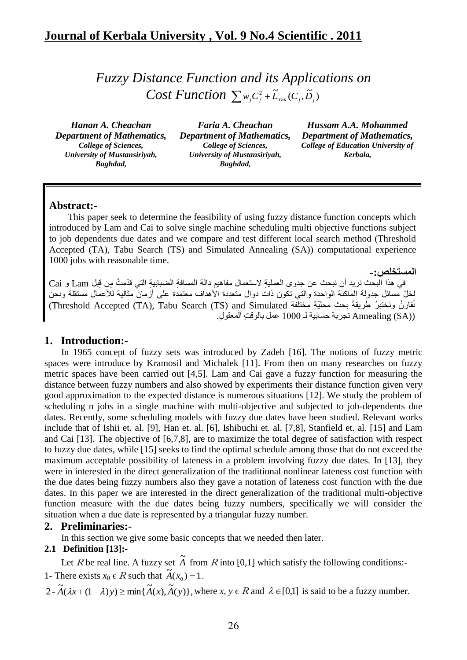*Fuzzy Distance Function and its Applications on Cost Function*  $\sum w_i C_i^2 + \widetilde{L}_{\text{max}}(C_i, \widetilde{D}_i)$  $\sum w_j C_j^2 + \widetilde{L}_{\max} (C_j, \widetilde{D}_j)$ 

*Hanan A. Cheachan Department of Mathematics, College of Sciences, University of Mustansiriyah, Baghdad,*

*Faria A. Cheachan Department of Mathematics, College of Sciences, University of Mustansiriyah, Baghdad,*

*Hussam A.A. Mohammed Department of Mathematics, College of Education University of Kerbala,*

**المستخلص-:**

### **Abstract:-**

This paper seek to determine the feasibility of using fuzzy distance function concepts which introduced by Lam and Cai to solve single machine scheduling multi objective functions subject to job dependents due dates and we compare and test different local search method (Threshold Accepted (TA), Tabu Search (TS) and Simulated Annealing (SA)) computational experience 1000 jobs with reasonable time.

في هذا البحث نريد أن نبحث عن جدوى العملية لاستعمال مفاهيم دالة المسافة الضبابية التي قدّمتْ مِن قِبل Lam و Cai لِحَلّ مسائل جدولة الماكنة الواحدة والذي نكون ذات دوال متعددة الأهداف معتمدة علمى أرمان مثالية للأعمال مستقلة ونحن نُقارنُ ونَختبرُ طريقةَ بحثِ محلّيّةِ مختلفةِ Threshold Accepted (TA), Tabu Search (TS) and Simulated) ((Annealing (SA نجر بة حسابية لــ 1000 عمل بالوقت المعقو ل.

### **1. Introduction:-**

In 1965 concept of fuzzy sets was introduced by Zadeh [16]. The notions of fuzzy metric spaces were introduce by Kramosil and Michalek [11]. From then on many researches on fuzzy metric spaces have been carried out [4,5]. Lam and Cai gave a fuzzy function for measuring the distance between fuzzy numbers and also showed by experiments their distance function given very good approximation to the expected distance is numerous situations [12]. We study the problem of scheduling n jobs in a single machine with multi-objective and subjected to job-dependents due dates. Recently, some scheduling models with fuzzy due dates have been studied. Relevant works include that of Ishii et. al. [9], Han et. al. [6], Ishibuchi et. al. [7,8], Stanfield et. al. [15] and Lam and Cai [13]. The objective of [6,7,8], are to maximize the total degree of satisfaction with respect to fuzzy due dates, while [15] seeks to find the optimal schedule among those that do not exceed the maximum acceptable possibility of lateness in a problem involving fuzzy due dates. In [13], they were in interested in the direct generalization of the traditional nonlinear lateness cost function with the due dates being fuzzy numbers also they gave a notation of lateness cost function with the due dates. In this paper we are interested in the direct generalization of the traditional multi-objective function measure with the due dates being fuzzy numbers, specifically we will consider the situation when a due date is represented by a triangular fuzzy number.

### **2. Preliminaries:-**

In this section we give some basic concepts that we needed then later.

### **2.1 Definition [13]:-**

Let R be real line. A fuzzy set  $\tilde{A}$  from R into [0,1] which satisfy the following conditions:-1- There exists  $x_0 \in R$  such that  $\widetilde{A}(x_0) = 1$ .

 $2 - \widetilde{A}(\lambda x + (1 - \lambda)y) \ge \min{\{\widetilde{A}(x), \widetilde{A}(y)\}}$ , where  $x, y \in R$  and  $\lambda \in [0,1]$  is said to be a fuzzy number.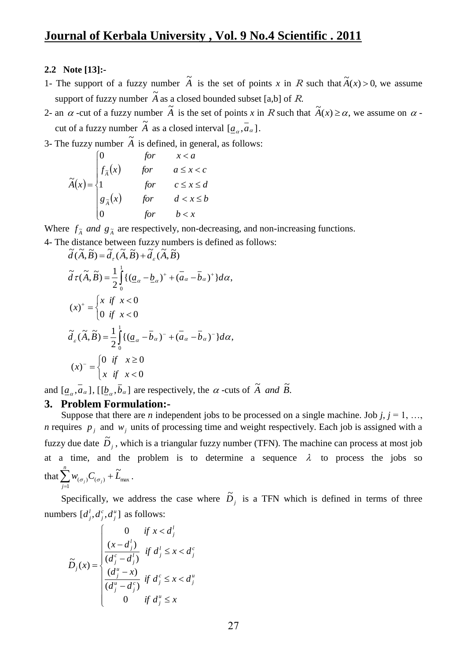## **2.2 Note [13]:-**

- 1- The support of a fuzzy number  $\tilde{A}$  is the set of points *x* in R such that  $\tilde{A}(x) > 0$ , we assume support of fuzzy number  $\tilde{A}$  as a closed bounded subset [a,b] of *R*.
- 2- an  $\alpha$  -cut of a fuzzy number  $\widetilde{A}$  is the set of points *x* in R such that  $\widetilde{A}(x) \ge \alpha$ , we assume on  $\alpha$ cut of a fuzzy number  $\tilde{A}$  as a closed interval  $\overline{a}$   $\overline{a}$ .
- 3- The fuzzy number  $\tilde{A}$  is defined, in general, as follows:

$$
\tilde{A}(x) = \begin{cases}\n0 & \text{for } & x < a \\
f_{\tilde{A}}(x) & \text{for } & a \leq x < c \\
1 & \text{for } & c \leq x \leq d \\
g_{\tilde{A}}(x) & \text{for } & d < x \leq b \\
0 & \text{for } & b < x\n\end{cases}
$$

Where  $f_{\tilde{A}}$  *and*  $g_{\tilde{A}}$  are respectively, non-decreasing, and non-increasing functions.

4- The distance between fuzzy numbers is defined as follows:  $\tilde{J}(\tilde{\lambda} \tilde{B}) = \tilde{J}(\tilde{\lambda} \tilde{B}) + \tilde{J}(\tilde{\lambda} \tilde{B})$ 

$$
\tilde{d}(\tilde{A}, \tilde{B}) = \tilde{d}_{\tau}(\tilde{A}, \tilde{B}) + \tilde{d}_{\varepsilon}(\tilde{A}, \tilde{B})
$$
\n
$$
\tilde{d}\tau(\tilde{A}, \tilde{B}) = \frac{1}{2} \int_{0}^{1} \{ (\underline{a}_{\alpha} - \underline{b}_{\alpha})^{+} + (\overline{a}_{\alpha} - \overline{b}_{\alpha})^{+} \} d\alpha,
$$
\n
$$
(x)^{+} = \begin{cases} x & \text{if } x < 0 \\ 0 & \text{if } x < 0 \end{cases}
$$
\n
$$
\tilde{d}_{\varepsilon}(\tilde{A}, \tilde{B}) = \frac{1}{2} \int_{0}^{1} \{ (\underline{a}_{\alpha} - \overline{b}_{\alpha})^{-} + (\overline{a}_{\alpha} - \overline{b}_{\alpha})^{-} \} d\alpha,
$$
\n
$$
(x)^{-} = \begin{cases} 0 & \text{if } x \ge 0 \\ x & \text{if } x < 0 \end{cases}
$$

and  $[a_{\alpha}, \overline{a}_{\alpha}]$ ,  $[[\underline{b}_{\alpha}, \overline{b}_{\alpha}]$  are respectively, the  $\alpha$ -cuts of  $\widetilde{A}$  *and*  $\widetilde{B}$ .

### **3. Problem Formulation:-**

Suppose that there are *n* independent jobs to be processed on a single machine. Job *j*,  $j = 1, ...,$ *n* requires  $p_j$  and  $w_j$  units of processing time and weight respectively. Each job is assigned with a fuzzy due date  $\tilde{D}_j$ , which is a triangular fuzzy number (TFN). The machine can process at most job at a time, and the problem is to determine a sequence  $\lambda$  to process the jobs so that  $\sum w_{(\sigma_i)} C_{(\sigma_i)} + L_{\text{max}}$ 1  $(\sigma_i)^\vee(\sigma_i)$  $w_{(\sigma)}C_{(\sigma)} + \widetilde{L}$ *n*  $\sum_{j=1}$   $w_{(\sigma_j)} C_{(\sigma_j)} + \widetilde{L}_{\text{max}}$ .

Specifically, we address the case where  $\tilde{D}_j$  is a TFN which is defined in terms of three numbers  $[d_i^l, d_i^c, d_i^u]$ *j c j*  $d_j^l, d_j^c, d_j^u$ ] as follows:

$$
\widetilde{D}_j(x) = \begin{cases}\n0 & \text{if } x < d_j^l \\
\frac{(x - d_j^l)}{(d_j^c - d_j^l)} & \text{if } d_j^l \leq x < d_j^c \\
\frac{(d_j^u - x)}{(d_j^u - d_j^c)} & \text{if } d_j^c \leq x < d_j^u \\
0 & \text{if } d_j^u \leq x\n\end{cases}
$$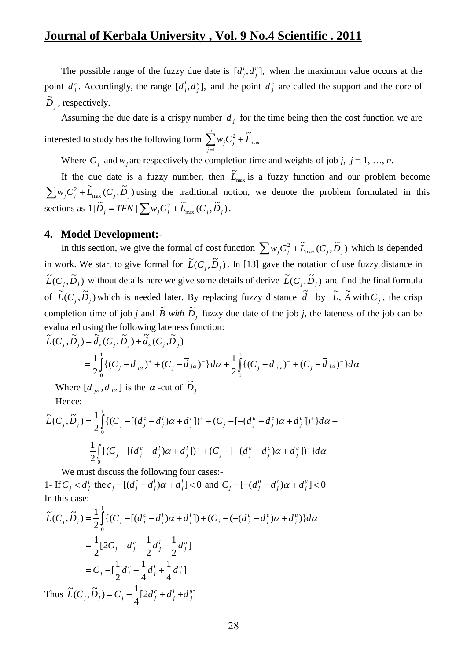The possible range of the fuzzy due date is  $[d_j^l, d_j^u]$ ,  $d_i^l, d_j^u$ , when the maximum value occurs at the point  $d_j^c$ . Accordingly, the range  $[d_j^l, d_j^u]$ ,  $d_j^i$ ,  $d_j^i$ , and the point  $d_j^c$  are called the support and the core of  $\tilde{D}_j$ , respectively.

Assuming the due date is a crispy number  $d_i$  for the time being then the cost function we are interested to study has the following form  $\sum w_j C_j^2 + L_{\text{max}}$ 2 1  $w_j C_j^2 + \widetilde{L}_j$ *n*  $\sum_{j=1}^{n}$ *w*<sub>*j*</sub> $C_j^2$  +

Where  $C_j$  and  $w_j$  are respectively the completion time and weights of job *j*,  $j = 1, ..., n$ .

If the due date is a fuzzy number, then  $\tilde{L}_{\text{max}}$  $\widetilde{L}_{\text{max}}$  is a fuzzy function and our problem become  $\widetilde{L}_{\max}$   $(C_{\overline{i}}, \widetilde{D}_{\overline{i}})$  $\sum w_j C_j^2 + \widetilde{L}_{\text{max}}(C_j, \widetilde{D}_j)$  using the traditional notion, we denote the problem formulated in this sections as  $1|\tilde{D}_j = TFN| \sum_{j} w_j C_j^2 + \tilde{L}_{\text{max}}(C_j, \tilde{D}_j)$ .

#### **4. Model Development:-**

In this section, we give the formal of cost function  $\sum_{i} w_i C_i^2 + \widetilde{L}_{\text{max}}(C_i, \widetilde{D}_i)$  $\sum w_j C_j^2 + \widetilde{L}_{\text{max}}(C_j, \widetilde{D}_j)$  which is depended in work. We start to give formal for  $\tilde{L}(C_j, \tilde{D}_j)$ . In [13] gave the notation of use fuzzy distance in  $\tilde{L}(C_j, \tilde{D}_j)$  without details here we give some details of derive  $\tilde{L}(C_j, \tilde{D}_j)$  and find the final formula of  $\tilde{L}(C_j, \tilde{D}_j)$  which is needed later. By replacing fuzzy distance  $\tilde{d}$  by  $\tilde{L}$ ,  $\tilde{A}$  with  $C_j$ , the crisp completion time of job *j* and  $\tilde{B}$  *with*  $\tilde{D}_j$  fuzzy due date of the job *j*, the lateness of the job can be evaluated using the following lateness function:  $\widetilde{L}(C_j, \widetilde{D}_j) = \widetilde{d}_{\tau}(C_j, \widetilde{D}_j) + \widetilde{d}_{\epsilon}(C_j, \widetilde{D}_j)$ 

$$
g_j(D_j) = a_r(C_j, D_j) + a_s(C_j, D_j)
$$
  
=  $\frac{1}{2} \int_0^1 \{ (C_j - d_{j\alpha})^+ + (C_j - d_{j\alpha})^+ \} d\alpha + \frac{1}{2} \int_0^1 \{ (C_j - d_{j\alpha})^- + (C_j - d_{j\alpha})^- \} d\alpha$ 

Where  $[\underline{d}_{j\alpha}, \overline{d}_{j\alpha}]$  is the  $\alpha$ -cut of  $\widetilde{D}_{j\alpha}$ 

Hence:

$$
\widetilde{L}(C_j, \widetilde{D}_j) = \frac{1}{2} \int_0^1 \{ (C_j - [(d_j^c - d_j^l)\alpha + d_j^l])^+ + (C_j - [-(d_j^u - d_j^c)\alpha + d_j^u])^+ \} d\alpha +
$$
  

$$
\frac{1}{2} \int_0^1 \{ (C_j - [(d_j^c - d_j^l)\alpha + d_j^l])^- + (C_j - [-(d_j^u - d_j^c)\alpha + d_j^u])^- \} d\alpha
$$

We must discuss the following four cases:- 1- If  $C_j < d_j^l$  the  $c_j - [(d_j^c - d_j^l)\alpha + d_j^l] < 0$ *j l j*  $c_j - [(d_j^c - d_j^l)\alpha + d_j^l] < 0$  and  $C_j - [-(d_j^u - d_j^c)\alpha + d_j^u] < 0$ *j c*  $C_j - [-(d_j^u - d_j^c)\alpha + d_j^c]$ In this case:

$$
\tilde{L}(C_j, \tilde{D}_j) = \frac{1}{2} \int_0^1 \{ (C_j - [(d_j^c - d_j^l)\alpha + d_j^l]) + (C_j - (-(d_j^u - d_j^c)\alpha + d_j^u) \} d\alpha
$$
\n
$$
= \frac{1}{2} [2C_j - d_j^c - \frac{1}{2}d_j^l - \frac{1}{2}d_j^u]
$$
\n
$$
= C_j - [\frac{1}{2}d_j^c + \frac{1}{4}d_j^l + \frac{1}{4}d_j^u]
$$

Thus  $\tilde{L}(C_i, D_i) = C_i - \frac{1}{2} [2d_i^c + d_i^l + d_i^u]$ 4  $\widetilde{L}(C_i, \widetilde{D}_i) = C_i - \frac{1}{2} [2d_i^c + d_i^l + d_i^u]$ *j l j*  $\widetilde{L}(C_j, \widetilde{D}_j) = C_j - \frac{1}{4} [2d_j^c + d_j^l + d_j^l]$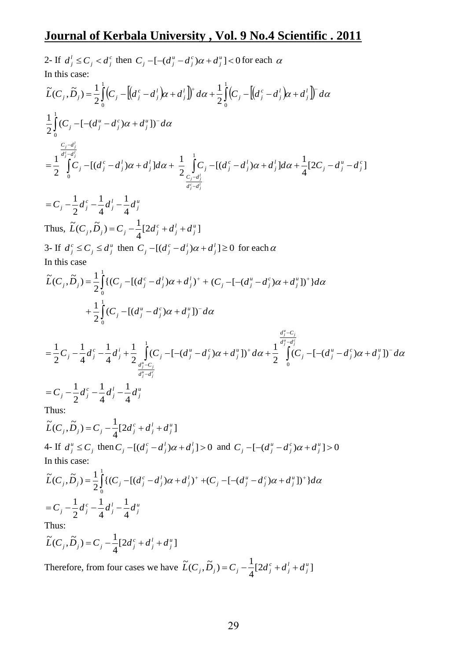2- If 
$$
d'_j \leq C_j < d''_j
$$
 then  $C_j - [-(d''_j - d''_j)\alpha + d''_j] < 0$  for each  $\alpha$   
\nIn this case:  
\n
$$
\tilde{L}(C_j, \tilde{D}_j) = \frac{1}{2} \int_0^1 (C_j - [[d''_j - d'_j)\alpha + d'_j])^2 d\alpha + \frac{1}{2} \int_0^1 (C_j - [[d''_j - d'_j)\alpha + d'_j])^2 d\alpha
$$
\n
$$
\frac{1}{2} \int_0^1 (C_j - [-(d''_j - d'_j)\alpha + d'_j])^2 d\alpha
$$
\n
$$
= \frac{1}{2} \int_0^{\frac{C_j - d'_j}{d'_j - d'_j}} [C_j - [(d''_j - d'_j)\alpha + d'_j] d\alpha + \frac{1}{2} \int_{\frac{C_j - d'_j}{d'_j - d'_j}}^1 C_j - [(d''_j - d'_j)\alpha + d'_j] d\alpha + \frac{1}{4} [2C_j - d''_j - d''_j]
$$
\n
$$
= C_j - \frac{1}{2} d''_j - \frac{1}{4} d'_j - \frac{1}{4} d''_j
$$
\nThus,  $\tilde{L}(C_j, \tilde{D}_j) = C_j - \frac{1}{4} [2d'_j + d'_j + d''_j]$   
\n
$$
3 \text{ If } d''_j \leq C_j \leq d''_j \text{ then } C_j - [(d''_j - d'_j)\alpha + d'_j] \geq 0 \text{ for each } \alpha
$$
\nIn this case  
\n
$$
\tilde{L}(C_j, \tilde{D}_j) = \frac{1}{2} \int_0^1 ((C_j - [(d''_j - d'_j)\alpha + d''_j])^2 d\alpha + \frac{1}{2} \int_0^1 (C_j - [(d''_j - d'_j)\alpha + d''_j])^2 d\alpha + \frac{1}{2} \int_0^1 (C_j - [(d''_j - d'_j)\alpha + d''_j])^2 d\alpha + \frac{1}{2} \int_0^1 (C_j - [(d''_j - d'_j)\alpha + d''_j])^2 d\alpha + \frac{1}{2} \int_0^1 (C_j - [-(d''_j - d'_j)\alpha + d''_j])^2 d\alpha
$$

Thus:

 $[2d_i^c + d_i^l + d_i^u]$ 4  $\widetilde{L}(C_i, \widetilde{D}_i) = C_i - \frac{1}{2} [2d_i^c + d_i^l + d_i^u]$ *j l j*  $\widetilde{L}(C_j, \widetilde{D}_j) = C_j - \frac{1}{4} [2d_j^c + d_j^l + d_j^l]$ 

Therefore, from four cases we have  $\tilde{L}(C_i, D_i) = C_i - \frac{1}{2} [2d_i^c + d_i^l + d_i^u]$ 4  $\widetilde{L}(C_i, \widetilde{D}_i) = C_i - \frac{1}{2} [2d_i^c + d_i^l + d_i^u]$ *j l j*  $\widetilde{L}(C_j, \widetilde{D}_j) = C_j - \frac{1}{4} [2d_j^c + d_j^l + d_j^l]$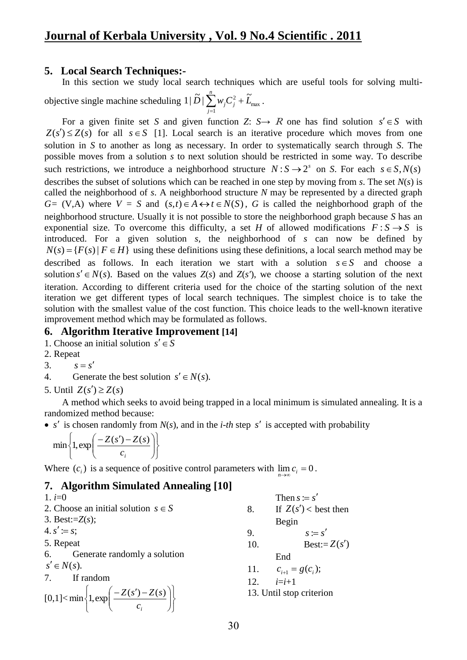## **5. Local Search Techniques:-**

In this section we study local search techniques which are useful tools for solving multi-

objective single machine scheduling  $1|D|\sum_{i} w_i C_i^2 + L_{\text{max}}$ 1  $1|\tilde{D}| \sum_{i=1}^{n} w_i C_i^2 + \tilde{L}$ *n*  $\sum_{j=1}^{ }$   $w_j C_j^2 +$ .

For a given finite set *S* and given function *Z*:  $S \rightarrow R$  one has find solution  $s' \in S$  with  $Z(s') \leq Z(s)$  for all  $s \in S$  [1]. Local search is an iterative procedure which moves from one solution in *S* to another as long as necessary. In order to systematically search through *S*. The possible moves from a solution *s* to next solution should be restricted in some way. To describe such restrictions, we introduce a neighborhood structure  $N: S \rightarrow 2^s$  on *S*. For each  $s \in S, N(s)$ describes the subset of solutions which can be reached in one step by moving from *s*. The set *N*(*s*) is called the neighborhood of *s*. A neighborhood structure *N* may be represented by a directed graph  $G = (V, A)$  where  $V = S$  and  $(s,t) \in A \leftrightarrow t \in N(S)$ , *G* is called the neighborhood graph of the neighborhood structure. Usually it is not possible to store the neighborhood graph because *S* has an exponential size. To overcome this difficulty, a set *H* of allowed modifications  $F: S \rightarrow S$  is introduced. For a given solution *s*, the neighborhood of *s* can now be defined by  $N(s) = {F(s) | F \in H}$  using these definitions using these definitions, a local search method may be described as follows. In each iteration we start with a solution  $s \in S$  and choose a solution  $s' \in N(s)$ . Based on the values  $Z(s)$  and  $Z(s')$ , we choose a starting solution of the next iteration. According to different criteria used for the choice of the starting solution of the next iteration we get different types of local search techniques. The simplest choice is to take the solution with the smallest value of the cost function. This choice leads to the well-known iterative improvement method which may be formulated as follows.

## **6. Algorithm Iterative Improvement [14]**

1. Choose an initial solution  $s' \in S$ 

- 2. Repeat
- 3.  $s = s'$
- 4. Generate the best solution  $s' \in N(s)$ .
- 5. Until  $Z(s') \geq Z(s)$

A method which seeks to avoid being trapped in a local minimum is simulated annealing. It is a randomized method because:

•  $s'$  is chosen randomly from  $N(s)$ , and in the *i-th* step  $s'$  is accepted with probability

$$
\min\left\{1,\exp\left(\frac{-Z(s')-Z(s)}{c_i}\right)\right\}
$$

Where  $(c_i)$  is a sequence of positive control parameters with  $\lim_{i \to \infty} c_i = 0$ . →∝ *n*

# **7. Algorithm Simulated Annealing [10]**

1.  $i=0$ 2. Choose an initial solution  $s \in S$ 3. Best:=*Z*(*s*);  $4. s' \coloneqq s;$ 5. Repeat 6. Generate randomly a solution  $s' \in N(s)$ . 7. If random  $[0,1] <$  $\int$  $\left\{ \right.$  $\overline{ }$  $\overline{\mathcal{L}}$  $\left\{ \right.$  $\int$  $\overline{\phantom{a}}$ J  $\backslash$  $\overline{\phantom{a}}$  $\overline{\mathcal{L}}$  $\Big(-Z(s')$ *i c*  $\min \left\{ 1, \exp \left( \frac{-Z(s') - Z(s)}{2} \right) \right\}$ Then  $s := s'$ 8. If  $Z(s') <$  best then Begin 9.  $s := s'$ 10. Best:= $Z(s')$ End 11.  $c_{i+1} = g(c_i);$ 12.  $i=i+1$ 13. Until stop criterion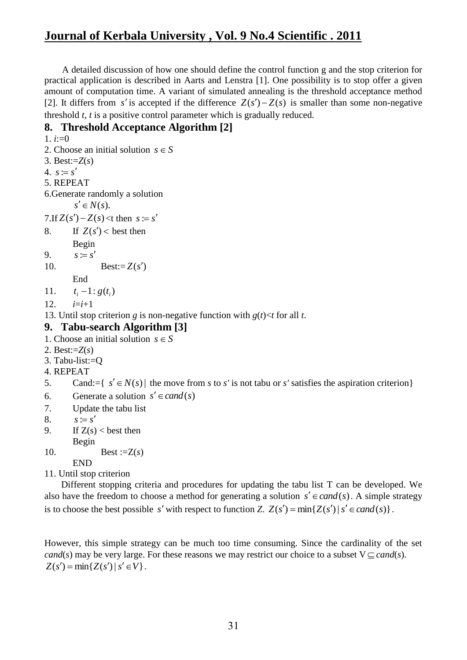A detailed discussion of how one should define the control function g and the stop criterion for practical application is described in Aarts and Lenstra [1]. One possibility is to stop offer a given amount of computation time. A variant of simulated annealing is the threshold acceptance method [2]. It differs from *s'* is accepted if the difference  $Z(s') - Z(s)$  is smaller than some non-negative threshold *t*, *t* is a positive control parameter which is gradually reduced.

## **8. Threshold Acceptance Algorithm [2]**

```
1. i:=02. Choose an initial solution s \in S3. Best:=Z(s)
4. s := s'5. REPEAT
6.Generate randomly a solution
       s' \in N(s).
7.If Z(s') - Z(s) < t then s := s'8. If Z(s') < best then
       Begin 
9.
       s := s'10. Best:=Z(s')End
11.
       t_i - 1 : g(t_i)12. i=i+113. Until stop criterion g is non-negative function with g(t) \lt t for all t.
9. Tabu-search Algorithm [3]
1. Choose an initial solution s \in S2. Best:=Z(s)
3. Tabu-list:=Q
4. REPEAT
5. Cand:={ s' \in N(s) | the move from s to s' is not tabu or s' satisfies the aspiration criterion}
6. Generate a solution s' \in cand(s)7. Update the tabu list
8. s := s'9. If Z(s) < best then
       Begin 
10. Best :=Z(s)END
```
11. Until stop criterion

Different stopping criteria and procedures for updating the tabu list T can be developed. We also have the freedom to choose a method for generating a solution  $s' \in cand(s)$ . A simple strategy is to choose the best possible s' with respect to function *Z*.  $Z(s') = \min\{Z(s') | s' \in cand(s)\}\.$ 

However, this simple strategy can be much too time consuming. Since the cardinality of the set *cand*(*s*) may be very large. For these reasons we may restrict our choice to a subset  $V \subseteqq cand(s)$ .  $Z(s') = \min\{Z(s') | s' \in V\}.$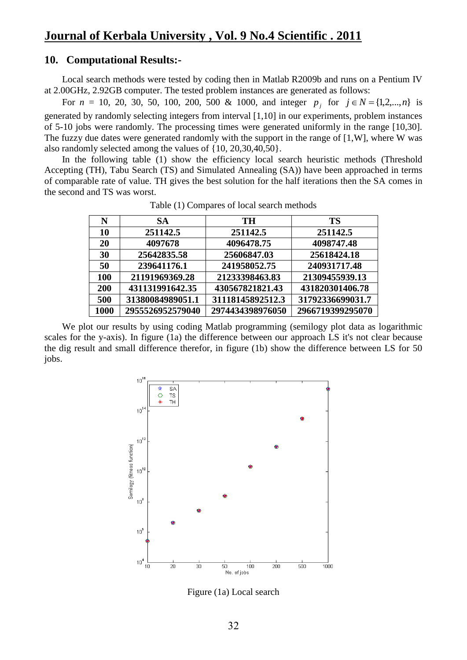## **10. Computational Results:-**

Local search methods were tested by coding then in Matlab R2009b and runs on a Pentium IV at 2.00GHz, 2.92GB computer. The tested problem instances are generated as follows:

For  $n = 10, 20, 30, 50, 100, 200, 500$  & 1000, and integer  $p_j$  for  $j \in N = \{1, 2, ..., n\}$  is generated by randomly selecting integers from interval [1,10] in our experiments, problem instances of 5-10 jobs were randomly. The processing times were generated uniformly in the range [10,30]. The fuzzy due dates were generated randomly with the support in the range of [1,W], where W was also randomly selected among the values of {10, 20,30,40,50}.

In the following table (1) show the efficiency local search heuristic methods (Threshold Accepting (TH), Tabu Search (TS) and Simulated Annealing (SA)) have been approached in terms of comparable rate of value. TH gives the best solution for the half iterations then the SA comes in the second and TS was worst.

| N          | <b>SA</b>        | TH               | <b>TS</b>        |
|------------|------------------|------------------|------------------|
| 10         | 251142.5         | 251142.5         | 251142.5         |
| 20         | 4097678          | 4096478.75       | 4098747.48       |
| 30         | 25642835.58      | 25606847.03      | 25618424.18      |
| 50         | 239641176.1      | 241958052.75     | 240931717.48     |
| <b>100</b> | 21191969369.28   | 21233398463.83   | 21309455939.13   |
| 200        | 431131991642.35  | 430567821821.43  | 431820301406.78  |
| 500        | 31380084989051.1 | 31118145892512.3 | 31792336699031.7 |
| 1000       | 2955526952579040 | 2974434398976050 | 2966719399295070 |

Table (1) Compares of local search methods

We plot our results by using coding Matlab programming (semilogy plot data as logarithmic scales for the y-axis). In figure (1a) the difference between our approach LS it's not clear because the dig result and small difference therefor, in figure (1b) show the difference between LS for 50 jobs.



Figure (1a) Local search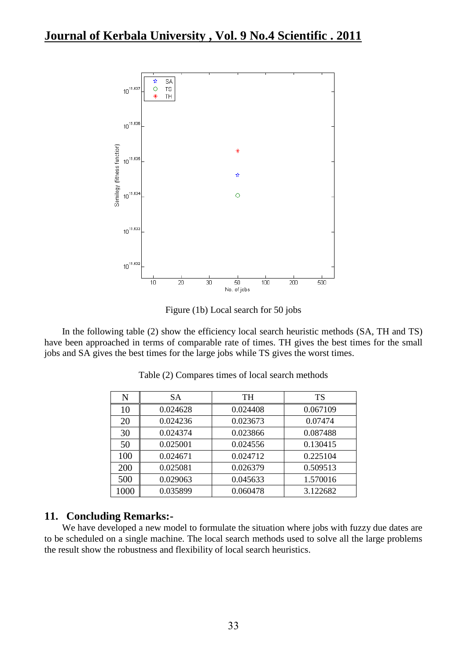

Figure (1b) Local search for 50 jobs

In the following table (2) show the efficiency local search heuristic methods (SA, TH and TS) have been approached in terms of comparable rate of times. TH gives the best times for the small jobs and SA gives the best times for the large jobs while TS gives the worst times.

| Ñ    | SА       | <b>TH</b> | TS       |
|------|----------|-----------|----------|
| 10   | 0.024628 | 0.024408  | 0.067109 |
| 20   | 0.024236 | 0.023673  | 0.07474  |
| 30   | 0.024374 | 0.023866  | 0.087488 |
| 50   | 0.025001 | 0.024556  | 0.130415 |
| 100  | 0.024671 | 0.024712  | 0.225104 |
| 200  | 0.025081 | 0.026379  | 0.509513 |
| 500  | 0.029063 | 0.045633  | 1.570016 |
| 1000 | 0.035899 | 0.060478  | 3.122682 |

Table (2) Compares times of local search methods

# **11. Concluding Remarks:-**

We have developed a new model to formulate the situation where jobs with fuzzy due dates are to be scheduled on a single machine. The local search methods used to solve all the large problems the result show the robustness and flexibility of local search heuristics.